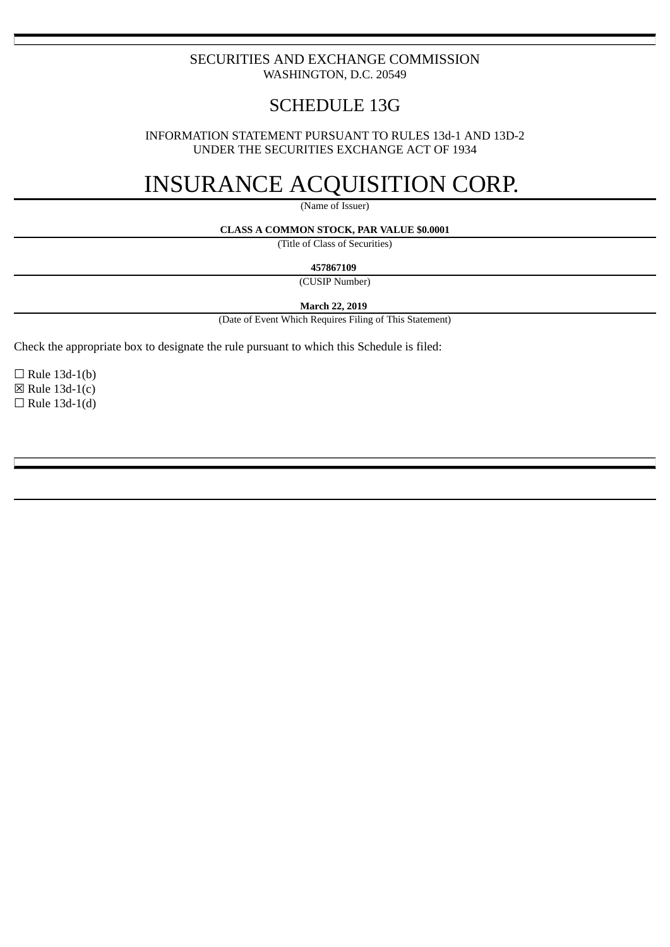## SECURITIES AND EXCHANGE COMMISSION WASHINGTON, D.C. 20549

# SCHEDULE 13G

INFORMATION STATEMENT PURSUANT TO RULES 13d-1 AND 13D-2 UNDER THE SECURITIES EXCHANGE ACT OF 1934

# INSURANCE ACQUISITION CORP.

(Name of Issuer)

#### **CLASS A COMMON STOCK, PAR VALUE \$0.0001**

(Title of Class of Securities)

**457867109**

(CUSIP Number)

**March 22, 2019**

(Date of Event Which Requires Filing of This Statement)

Check the appropriate box to designate the rule pursuant to which this Schedule is filed:

 $\Box$  Rule 13d-1(b)  $\boxtimes$  Rule 13d-1(c)  $\Box$  Rule 13d-1(d)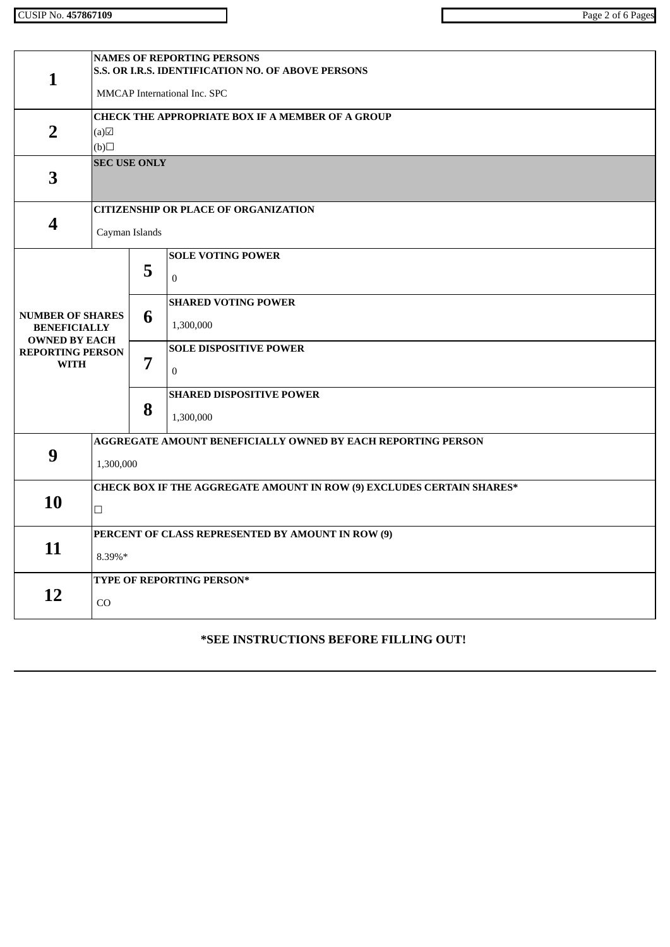| $\mathbf{1}$                                                           | <b>NAMES OF REPORTING PERSONS</b><br>S.S. OR I.R.S. IDENTIFICATION NO. OF ABOVE PERSONS<br>MMCAP International Inc. SPC |   |                                              |  |  |  |
|------------------------------------------------------------------------|-------------------------------------------------------------------------------------------------------------------------|---|----------------------------------------------|--|--|--|
|                                                                        | <b>CHECK THE APPROPRIATE BOX IF A MEMBER OF A GROUP</b>                                                                 |   |                                              |  |  |  |
| $\overline{2}$                                                         | (a)<br>$\Box$ (d)                                                                                                       |   |                                              |  |  |  |
| 3                                                                      | <b>SEC USE ONLY</b>                                                                                                     |   |                                              |  |  |  |
| $\overline{\mathbf{4}}$                                                | <b>CITIZENSHIP OR PLACE OF ORGANIZATION</b><br>Cayman Islands                                                           |   |                                              |  |  |  |
|                                                                        |                                                                                                                         | 5 | <b>SOLE VOTING POWER</b><br>$\boldsymbol{0}$ |  |  |  |
| <b>NUMBER OF SHARES</b><br><b>BENEFICIALLY</b><br><b>OWNED BY EACH</b> |                                                                                                                         | 6 | <b>SHARED VOTING POWER</b><br>1,300,000      |  |  |  |
| <b>REPORTING PERSON</b><br><b>WITH</b>                                 |                                                                                                                         | 7 | <b>SOLE DISPOSITIVE POWER</b><br>$\bf{0}$    |  |  |  |
|                                                                        |                                                                                                                         | 8 | <b>SHARED DISPOSITIVE POWER</b><br>1,300,000 |  |  |  |
| 9                                                                      | AGGREGATE AMOUNT BENEFICIALLY OWNED BY EACH REPORTING PERSON<br>1,300,000                                               |   |                                              |  |  |  |
| 10                                                                     | CHECK BOX IF THE AGGREGATE AMOUNT IN ROW (9) EXCLUDES CERTAIN SHARES*<br>$\Box$                                         |   |                                              |  |  |  |
| 11                                                                     | PERCENT OF CLASS REPRESENTED BY AMOUNT IN ROW (9)<br>8.39%*                                                             |   |                                              |  |  |  |
| 12                                                                     | TYPE OF REPORTING PERSON*<br>CO                                                                                         |   |                                              |  |  |  |

# **\*SEE INSTRUCTIONS BEFORE FILLING OUT!**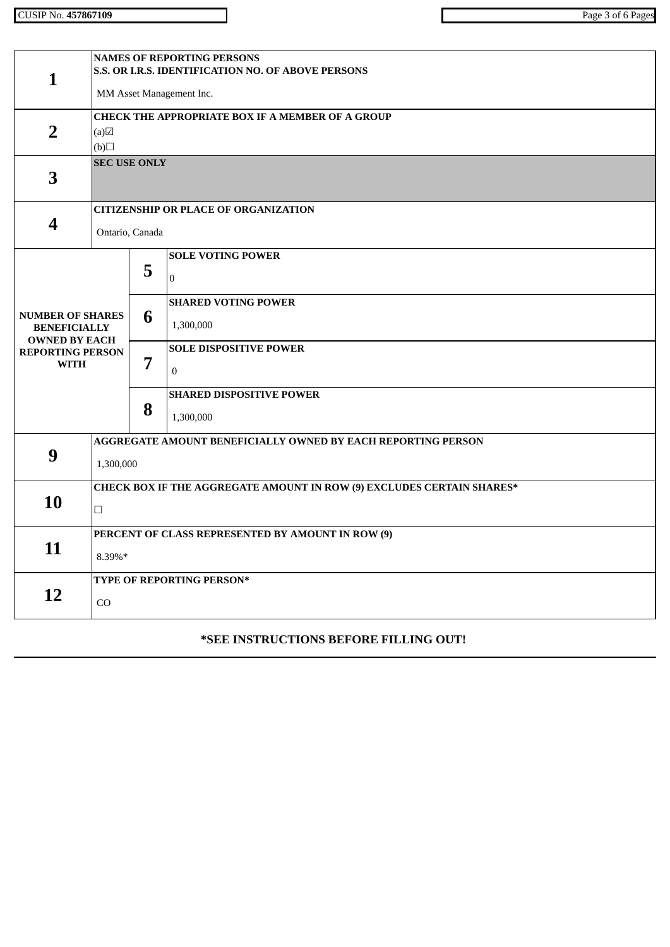CUSIP No. **457867109** Page 3 of 6 Pages

| $\mathbf{1}$                                                           | <b>NAMES OF REPORTING PERSONS</b><br>S.S. OR I.R.S. IDENTIFICATION NO. OF ABOVE PERSONS<br>MM Asset Management Inc. |                                                  |                                                   |  |  |  |
|------------------------------------------------------------------------|---------------------------------------------------------------------------------------------------------------------|--------------------------------------------------|---------------------------------------------------|--|--|--|
| $\overline{2}$                                                         | (a)<br>$\Box$ (d)                                                                                                   | CHECK THE APPROPRIATE BOX IF A MEMBER OF A GROUP |                                                   |  |  |  |
| $\overline{\mathbf{3}}$                                                | <b>SEC USE ONLY</b>                                                                                                 |                                                  |                                                   |  |  |  |
| 4                                                                      | <b>CITIZENSHIP OR PLACE OF ORGANIZATION</b><br>Ontario, Canada                                                      |                                                  |                                                   |  |  |  |
|                                                                        |                                                                                                                     | 5                                                | <b>SOLE VOTING POWER</b><br>$\Omega$              |  |  |  |
| <b>NUMBER OF SHARES</b><br><b>BENEFICIALLY</b><br><b>OWNED BY EACH</b> |                                                                                                                     | 6                                                | <b>SHARED VOTING POWER</b><br>1,300,000           |  |  |  |
| <b>REPORTING PERSON</b><br><b>WITH</b>                                 |                                                                                                                     | 7                                                | <b>SOLE DISPOSITIVE POWER</b><br>$\boldsymbol{0}$ |  |  |  |
|                                                                        |                                                                                                                     | 8                                                | <b>SHARED DISPOSITIVE POWER</b><br>1,300,000      |  |  |  |
| 9                                                                      | AGGREGATE AMOUNT BENEFICIALLY OWNED BY EACH REPORTING PERSON<br>1,300,000                                           |                                                  |                                                   |  |  |  |
| 10                                                                     | <b>CHECK BOX IF THE AGGREGATE AMOUNT IN ROW (9) EXCLUDES CERTAIN SHARES*</b><br>$\Box$                              |                                                  |                                                   |  |  |  |
| 11                                                                     | PERCENT OF CLASS REPRESENTED BY AMOUNT IN ROW (9)<br>8.39%*                                                         |                                                  |                                                   |  |  |  |
| 12                                                                     | TYPE OF REPORTING PERSON*<br>CO                                                                                     |                                                  |                                                   |  |  |  |

# **\*SEE INSTRUCTIONS BEFORE FILLING OUT!**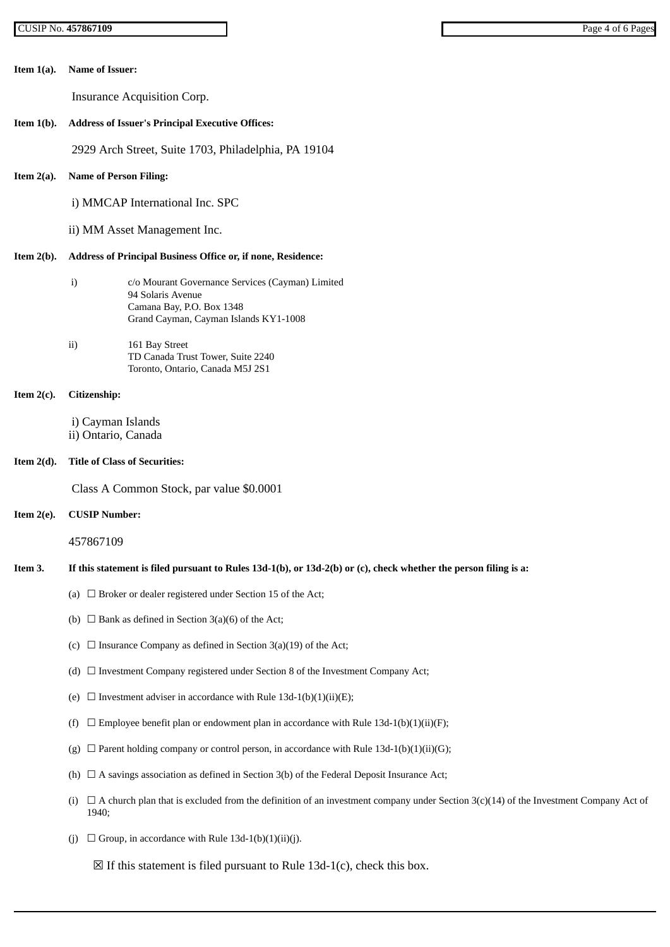| Item $1(a)$ . | <b>Name of Issuer:</b>                                                                                                                                     |  |  |  |  |  |  |
|---------------|------------------------------------------------------------------------------------------------------------------------------------------------------------|--|--|--|--|--|--|
|               | Insurance Acquisition Corp.                                                                                                                                |  |  |  |  |  |  |
| Item $1(b)$ . | <b>Address of Issuer's Principal Executive Offices:</b>                                                                                                    |  |  |  |  |  |  |
|               | 2929 Arch Street, Suite 1703, Philadelphia, PA 19104                                                                                                       |  |  |  |  |  |  |
| Item $2(a)$ . | <b>Name of Person Filing:</b>                                                                                                                              |  |  |  |  |  |  |
|               | i) MMCAP International Inc. SPC                                                                                                                            |  |  |  |  |  |  |
|               | ii) MM Asset Management Inc.                                                                                                                               |  |  |  |  |  |  |
| Item $2(b)$ . | Address of Principal Business Office or, if none, Residence:                                                                                               |  |  |  |  |  |  |
|               | i)<br>c/o Mourant Governance Services (Cayman) Limited<br>94 Solaris Avenue<br>Camana Bay, P.O. Box 1348<br>Grand Cayman, Cayman Islands KY1-1008          |  |  |  |  |  |  |
|               | ii)<br>161 Bay Street<br>TD Canada Trust Tower, Suite 2240<br>Toronto, Ontario, Canada M5J 2S1                                                             |  |  |  |  |  |  |
| Item $2(c)$ . | Citizenship:                                                                                                                                               |  |  |  |  |  |  |
|               | i) Cayman Islands<br>ii) Ontario, Canada                                                                                                                   |  |  |  |  |  |  |
| Item $2(d)$ . | <b>Title of Class of Securities:</b>                                                                                                                       |  |  |  |  |  |  |
|               | Class A Common Stock, par value \$0.0001                                                                                                                   |  |  |  |  |  |  |
| Item $2(e)$ . | <b>CUSIP Number:</b>                                                                                                                                       |  |  |  |  |  |  |
|               | 457867109                                                                                                                                                  |  |  |  |  |  |  |
| Item 3.       | If this statement is filed pursuant to Rules 13d-1(b), or 13d-2(b) or (c), check whether the person filing is a:                                           |  |  |  |  |  |  |
|               | (a) $\Box$ Broker or dealer registered under Section 15 of the Act;                                                                                        |  |  |  |  |  |  |
|               | (b) $\Box$ Bank as defined in Section 3(a)(6) of the Act;                                                                                                  |  |  |  |  |  |  |
|               | $\Box$ Insurance Company as defined in Section 3(a)(19) of the Act;<br>(C)                                                                                 |  |  |  |  |  |  |
|               | (d) $\Box$ Investment Company registered under Section 8 of the Investment Company Act;                                                                    |  |  |  |  |  |  |
|               | $\Box$ Investment adviser in accordance with Rule 13d-1(b)(1)(ii)(E);<br>(e)                                                                               |  |  |  |  |  |  |
|               | $\Box$ Employee benefit plan or endowment plan in accordance with Rule 13d-1(b)(1)(ii)(F);<br>(f)                                                          |  |  |  |  |  |  |
|               | $\Box$ Parent holding company or control person, in accordance with Rule 13d-1(b)(1)(ii)(G);<br>(g)                                                        |  |  |  |  |  |  |
|               | $\Box$ A savings association as defined in Section 3(b) of the Federal Deposit Insurance Act;<br>(h)                                                       |  |  |  |  |  |  |
|               | $\Box$ A church plan that is excluded from the definition of an investment company under Section 3(c)(14) of the Investment Company Act of<br>(i)<br>1940; |  |  |  |  |  |  |
|               | $\Box$ Group, in accordance with Rule 13d-1(b)(1)(ii)(j).<br>(i)                                                                                           |  |  |  |  |  |  |

 $\boxtimes$  If this statement is filed pursuant to Rule 13d-1(c), check this box.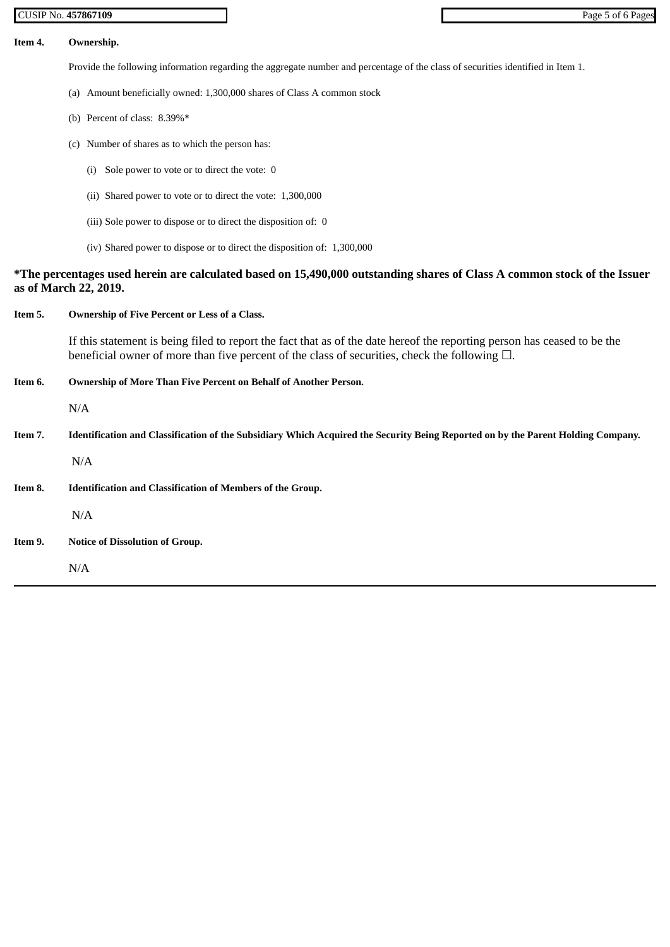#### **Item 4. Ownership.**

Provide the following information regarding the aggregate number and percentage of the class of securities identified in Item 1.

- (a) Amount beneficially owned: 1,300,000 shares of Class A common stock
- (b) Percent of class: 8.39%\*
- (c) Number of shares as to which the person has:
	- (i) Sole power to vote or to direct the vote: 0
	- (ii) Shared power to vote or to direct the vote: 1,300,000
	- (iii) Sole power to dispose or to direct the disposition of: 0
	- (iv) Shared power to dispose or to direct the disposition of: 1,300,000

## **\*The percentages used herein are calculated based on 15,490,000 outstanding shares of Class A common stock of the Issuer as of March 22, 2019.**

## **Item 5. Ownership of Five Percent or Less of a Class.**

If this statement is being filed to report the fact that as of the date hereof the reporting person has ceased to be the beneficial owner of more than five percent of the class of securities, check the following  $\Box$ .

## **Item 6. Ownership of More Than Five Percent on Behalf of Another Person.**

N/A

Item 7. Identification and Classification of the Subsidiary Which Acquired the Security Being Reported on by the Parent Holding Company.

N/A

**Item 8. Identification and Classification of Members of the Group.**

N/A

**Item 9. Notice of Dissolution of Group.**

N/A